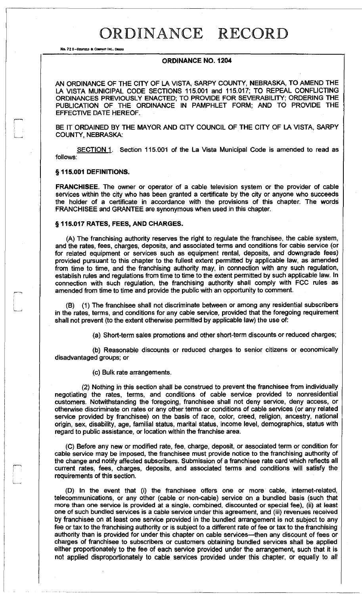## ORDINANCE RECORD

No. 72 B-REDFIELD & COMPANY INC., OMAHA

#### **ORDINANCE NO. 1204**

AN ORDINANCE OF THE CITY OF LA VISTA, SARPY COUNTY, NEBRASKA, TO AMEND THE LA VISTA MUNICIPAL CODE SECTIONS 115.001 and 115.017; TO REPEAL CONFLICTING ORDINANCES PREVIOUSLY ENACTED; TO PROVIDE FOR SEVERABILITY; ORDERING THE PUBLICATION OF THE ORDINANCE IN PAMPHLET FORM; AND TO PROVIDE THE EFFECTIVE DATE HEREOF.

BE IT ORDAINED BY THE MAYOR AND CITY COUNCIL OF THE CITY OF LA VISTA, SARPY COUNTY, NEBRASKA:

SECTION 1. Section 115.001 of the La Vista Municipal Code is amended to read as follows:

### **§115.001 DEFINITIONS.**

**FRANCHISEE.** The owner or operator of a cable television system or the provider of cable services within the city who has been granted a certificate by the city or anyone who succeeds the holder of a certificate in accordance with the provisions of this chapter. The words FRANCHISEE and GRANTEE are synonymous when used in this chapter.

#### **§ 115.017 RATES, FEES, AND CHARGES.**

(A) The franchising authority reserves the right to regulate the franchisee, the cable system, and the rates, fees, charges, deposits, and associated terms and conditions for cable service (or for related equipment or services such as equipment rental, deposits, and downgrade fees) provided pursuant to this chapter to the fullest extent permitted by applicable law, as amended from time to time, and the franchising authority may, in connection with any such regulation, establish rules and regulations from time to time to the extent permitted by such applicable law. In connection with such regulation, the franchising authority shall comply with FCC rules as amended from time to time and provide the public with an opportunity to comment.

(B) (1) The franchisee shall not discriminate between or among any residential subscribers in the rates, terms, and conditions for any cable service, provided that the foregoing requirement shall not prevent (to the extent otherwise permitted by applicable law) the use of:

(a) Short-term sales promotions and other short-term discounts or reduced charges;

(b) Reasonable discounts or reduced charges to senior citizens or economically disadvantaged groups; or

(c) Bulk rate arrangements.

(2) Nothing in this section shall be construed to prevent the franchisee from individually negotiating the rates, terms, and conditions of cable service provided to nonresidential customers. Notwithstanding the foregoing, franchisee shall not deny service, deny access, or otherwise discriminate on rates or any other terms or conditions of cable services (or any related service provided by franchisee) on the basis of race, color, creed, religion, ancestry, national origin, sex, disability, age, familial status, marital status, income level, demographics, status with regard to public assistance, or location within the franchise area.

(C) Before any new or modified rate, fee, charge, deposit, or associated term or condition for cable service may be imposed, the franchisee must provide notice to the franchising authority of the change and notify affected subscribers. Submission of a franchisee rate card which reflects all current rates, fees, charges, deposits, and associated terms and conditions will satisfy the requirements of this section.

(D) In the event that (i) the franchisee offers one or more cable, internet-related, telecommunications, or any other (cable or non-cable) service on a bundled basis (such that more than one service is provided at a single, combined, discounted or special fee), (ii) at least one of such bundled services is a cable service under this agreement, and (iii) revenues received by franchisee on at least one service provided in the bundled arrangement is not subject to any fee or tax to the franchising authority or is subject to a different rate of fee or tax to the franchising authority than is provided for under this chapter on cable services—then any discount of fees or charges of franchisee to subscribers or customers obtaining bundled services shall be applied either proportionately to the fee of each service provided under the arrangement, such that it is not applied disproportionately to cable services provided under this chapter, or equally to all